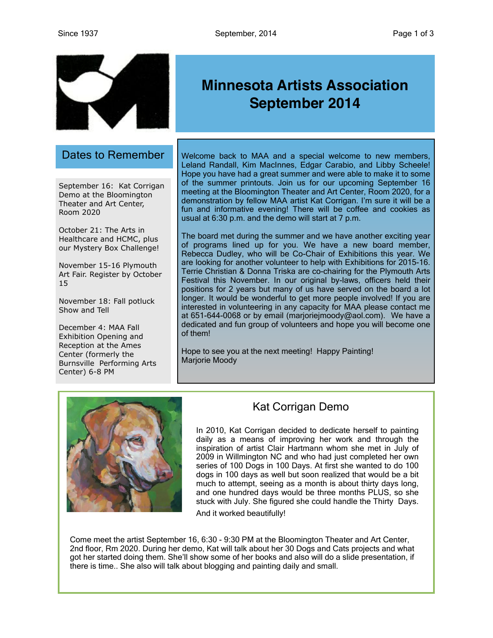

## Dates to Remember

September 16: Kat Corrigan Demo at the Bloomington Theater and Art Center, Room 2020

October 21: The Arts in Healthcare and HCMC, plus our Mystery Box Challenge!

November 15-16 Plymouth Art Fair. Register by October 15

November 18: Fall potluck Show and Tell

December 4: MAA Fall Exhibition Opening and Reception at the Ames Center (formerly the Burnsville Performing Arts Center) 6-8 PM

# **Minnesota Artists Association September 2014**

Welcome back to MAA and a special welcome to new members, Leland Randall, Kim MacInnes, Edgar Carabio, and Libby Scheele! Hope you have had a great summer and were able to make it to some of the summer printouts. Join us for our upcoming September 16 meeting at the Bloomington Theater and Art Center, Room 2020, for a demonstration by fellow MAA artist Kat Corrigan. I'm sure it will be a fun and informative evening! There will be coffee and cookies as usual at 6:30 p.m. and the demo will start at 7 p.m.

The board met during the summer and we have another exciting year of programs lined up for you. We have a new board member, Rebecca Dudley, who will be Co-Chair of Exhibitions this year. We are looking for another volunteer to help with Exhibitions for 2015-16. Terrie Christian & Donna Triska are co-chairing for the Plymouth Arts Festival this November. In our original by-laws, officers held their positions for 2 years but many of us have served on the board a lot longer. It would be wonderful to get more people involved! If you are interested in volunteering in any capacity for MAA please contact me at 651-644-0068 or by email [\(marjoriejmoody@aol.com\)](mailto:marjoriejmoody@aol.com). We have a dedicated and fun group of volunteers and hope you will become one of them!

Hope to see you at the next meeting! Happy Painting! Marjorie Moody



## Kat Corrigan Demo

In 2010, Kat Corrigan decided to dedicate herself to painting daily as a means of improving her work and through the inspiration of artist [Clair Hartmann](http://www.clairhartmann.com/) whom she met in July of 2009 in Willmington NC and who had just completed her own series of 100 Dogs in 100 Days. At first she wanted to do 100 dogs in 100 days as well but soon realized that would be a bit much to attempt, seeing as a month is about thirty days long, and one hundred days would be three months PLUS, so she stuck with July. She figured she could handle the Thirty Days.

And it worked beautifully!

Come meet the artist September 16, 6:30 - 9:30 PM at the Bloomington Theater and Art Center, 2nd floor, Rm 2020. During her demo, Kat will talk about her 30 Dogs and Cats projects and what got her started doing them. She'll show some of her books and also will do a slide presentation, if there is time.. She also will talk about blogging and painting daily and small.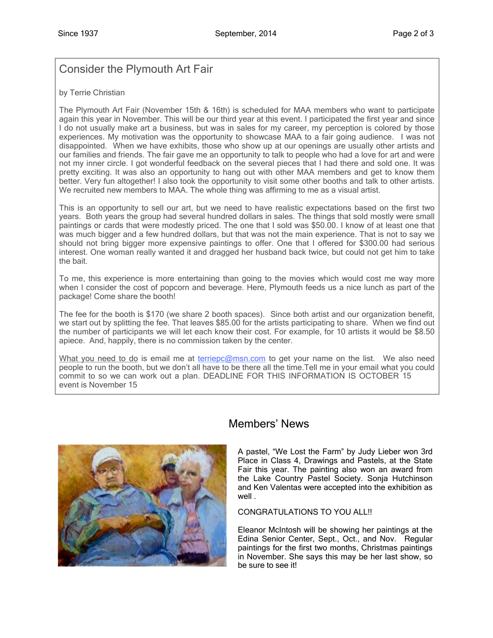## Consider the Plymouth Art Fair

#### by Terrie Christian

The Plymouth Art Fair (November 15th & 16th) is scheduled for MAA members who want to participate again this year in November. This will be our third year at this event. I participated the first year and since I do not usually make art a business, but was in sales for my career, my perception is colored by those experiences. My motivation was the opportunity to showcase MAA to a fair going audience. I was not disappointed. When we have exhibits, those who show up at our openings are usually other artists and our families and friends. The fair gave me an opportunity to talk to people who had a love for art and were not my inner circle. I got wonderful feedback on the several pieces that I had there and sold one. It was pretty exciting. It was also an opportunity to hang out with other MAA members and get to know them better. Very fun altogether! I also took the opportunity to visit some other booths and talk to other artists. We recruited new members to MAA. The whole thing was affirming to me as a visual artist.

This is an opportunity to sell our art, but we need to have realistic expectations based on the first two years. Both years the group had several hundred dollars in sales. The things that sold mostly were small paintings or cards that were modestly priced. The one that I sold was \$50.00. I know of at least one that was much bigger and a few hundred dollars, but that was not the main experience. That is not to say we should not bring bigger more expensive paintings to offer. One that I offered for \$300.00 had serious interest. One woman really wanted it and dragged her husband back twice, but could not get him to take the bait.

To me, this experience is more entertaining than going to the movies which would cost me way more when I consider the cost of popcorn and beverage. Here, Plymouth feeds us a nice lunch as part of the package! Come share the booth!

The fee for the booth is \$170 (we share 2 booth spaces). Since both artist and our organization benefit, we start out by splitting the fee. That leaves \$85.00 for the artists participating to share. When we find out the number of participants we will let each know their cost. For example, for 10 artists it would be \$8.50 apiece. And, happily, there is no commission taken by the center.

What you need to do is email me at [terriepc@msn.com](mailto:terriepc@msn.com) to get your name on the list. We also need people to run the booth, but we don't all have to be there all the time.Tell me in your email what you could commit to so we can work out a plan. DEADLINE FOR THIS INFORMATION IS OCTOBER 15 event is November 15



## Members' News

A pastel, "We Lost the Farm" by Judy Lieber won 3rd Place in Class 4, Drawings and Pastels, at the State Fair this year. The painting also won an award from the Lake Country Pastel Society. Sonja Hutchinson and Ken Valentas were accepted into the exhibition as well .

#### CONGRATULATIONS TO YOU ALL!!

Eleanor McIntosh will be showing her paintings at the Edina Senior Center, Sept., Oct., and Nov. Regular paintings for the first two months, Christmas paintings in November. She says this may be her last show, so be sure to see it!